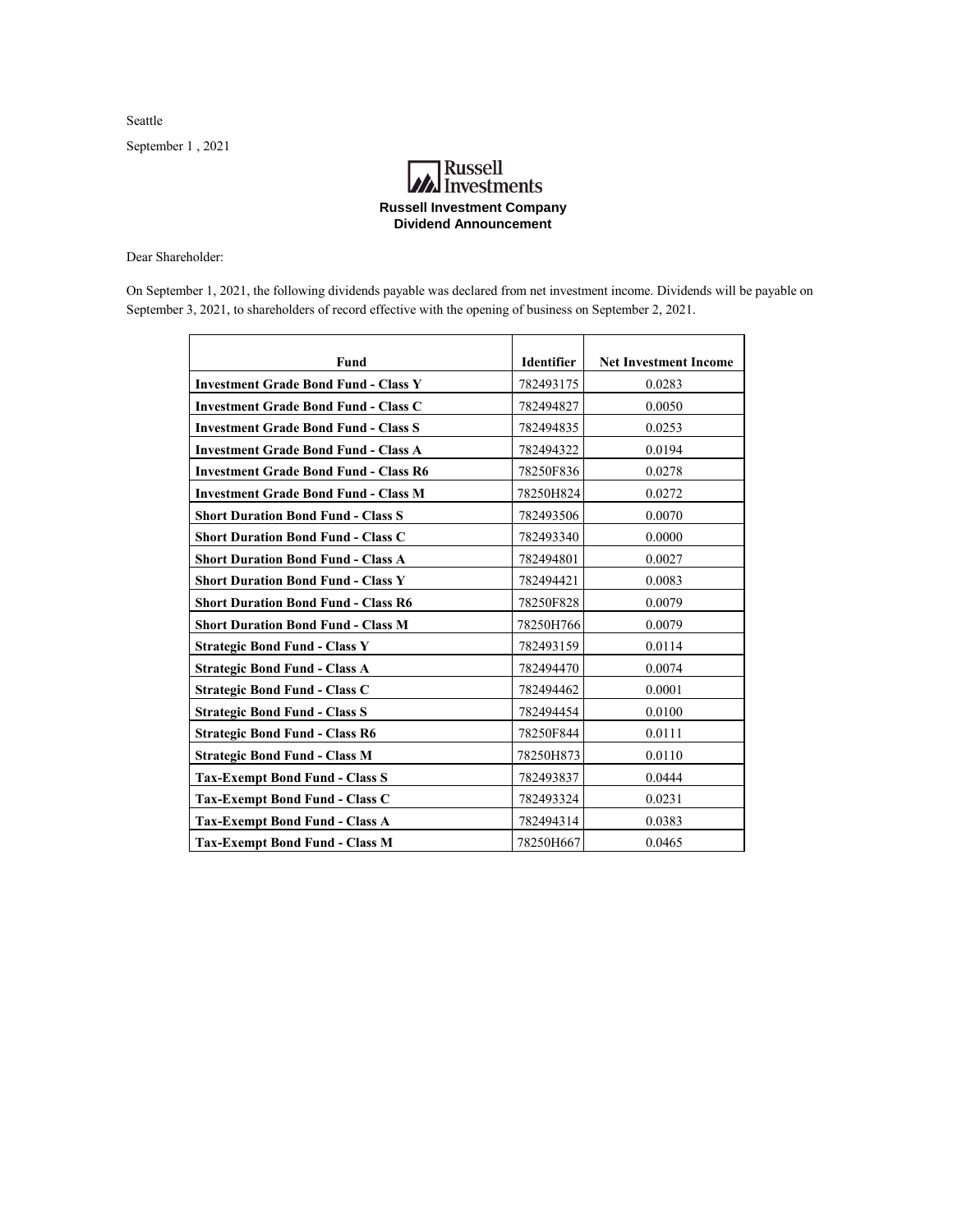Seattle

September 1 , 2021

## **A**<br>Investments **Russell Investment Company Dividend Announcement**

Dear Shareholder:

On September 1, 2021, the following dividends payable was declared from net investment income. Dividends will be payable on September 3, 2021, to shareholders of record effective with the opening of business on September 2, 2021.

| Fund                                         | <b>Identifier</b> | <b>Net Investment Income</b> |
|----------------------------------------------|-------------------|------------------------------|
| <b>Investment Grade Bond Fund - Class Y</b>  | 782493175         | 0.0283                       |
| <b>Investment Grade Bond Fund - Class C</b>  | 782494827         | 0.0050                       |
| <b>Investment Grade Bond Fund - Class S</b>  | 782494835         | 0.0253                       |
| <b>Investment Grade Bond Fund - Class A</b>  | 782494322         | 0.0194                       |
| <b>Investment Grade Bond Fund - Class R6</b> | 78250F836         | 0.0278                       |
| <b>Investment Grade Bond Fund - Class M</b>  | 78250H824         | 0.0272                       |
| <b>Short Duration Bond Fund - Class S</b>    | 782493506         | 0.0070                       |
| <b>Short Duration Bond Fund - Class C</b>    | 782493340         | 0.0000                       |
| <b>Short Duration Bond Fund - Class A</b>    | 782494801         | 0.0027                       |
| <b>Short Duration Bond Fund - Class Y</b>    | 782494421         | 0.0083                       |
| <b>Short Duration Bond Fund - Class R6</b>   | 78250F828         | 0.0079                       |
| <b>Short Duration Bond Fund - Class M</b>    | 78250H766         | 0.0079                       |
| <b>Strategic Bond Fund - Class Y</b>         | 782493159         | 0.0114                       |
| <b>Strategic Bond Fund - Class A</b>         | 782494470         | 0.0074                       |
| <b>Strategic Bond Fund - Class C</b>         | 782494462         | 0.0001                       |
| <b>Strategic Bond Fund - Class S</b>         | 782494454         | 0.0100                       |
| <b>Strategic Bond Fund - Class R6</b>        | 78250F844         | 0.0111                       |
| <b>Strategic Bond Fund - Class M</b>         | 78250H873         | 0.0110                       |
| <b>Tax-Exempt Bond Fund - Class S</b>        | 782493837         | 0.0444                       |
| <b>Tax-Exempt Bond Fund - Class C</b>        | 782493324         | 0.0231                       |
| <b>Tax-Exempt Bond Fund - Class A</b>        | 782494314         | 0.0383                       |
| <b>Tax-Exempt Bond Fund - Class M</b>        | 78250H667         | 0.0465                       |